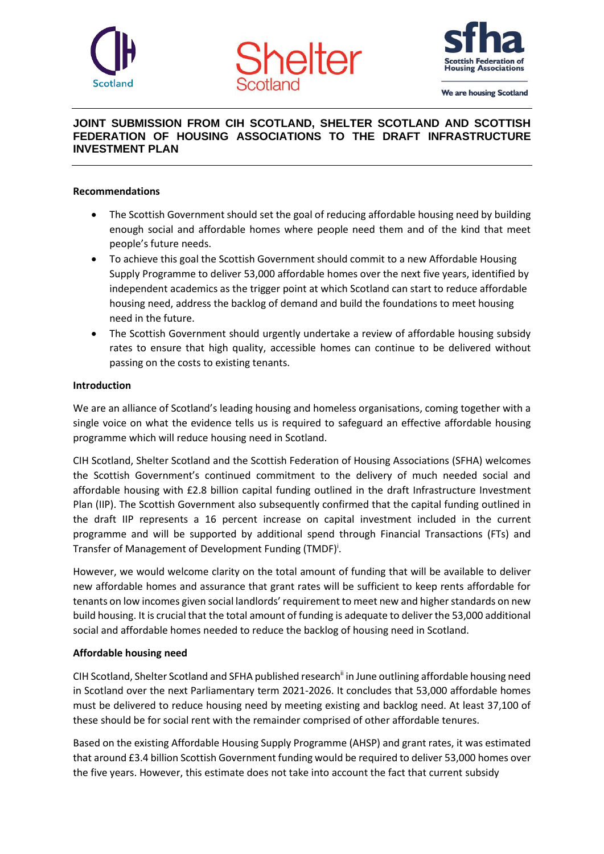





We are housing Scotland

# **JOINT SUBMISSION FROM CIH SCOTLAND, SHELTER SCOTLAND AND SCOTTISH FEDERATION OF HOUSING ASSOCIATIONS TO THE DRAFT INFRASTRUCTURE INVESTMENT PLAN**

## **Recommendations**

- The Scottish Government should set the goal of reducing affordable housing need by building enough social and affordable homes where people need them and of the kind that meet people's future needs.
- To achieve this goal the Scottish Government should commit to a new Affordable Housing Supply Programme to deliver 53,000 affordable homes over the next five years, identified by independent academics as the trigger point at which Scotland can start to reduce affordable housing need, address the backlog of demand and build the foundations to meet housing need in the future.
- The Scottish Government should urgently undertake a review of affordable housing subsidy rates to ensure that high quality, accessible homes can continue to be delivered without passing on the costs to existing tenants.

## **Introduction**

We are an alliance of Scotland's leading housing and homeless organisations, coming together with a single voice on what the evidence tells us is required to safeguard an effective affordable housing programme which will reduce housing need in Scotland.

CIH Scotland, Shelter Scotland and the Scottish Federation of Housing Associations (SFHA) welcomes the Scottish Government's continued commitment to the delivery of much needed social and affordable housing with £2.8 billion capital funding outlined in the draft Infrastructure Investment Plan (IIP). The Scottish Government also subsequently confirmed that the capital funding outlined in the draft IIP represents a 16 percent increase on capital investment included in the current programme and will be supported by additional spend through Financial Transactions (FTs) and Transfer of Management of Development Funding (TMDF)<sup>i</sup>.

However, we would welcome clarity on the total amount of funding that will be available to deliver new affordable homes and assurance that grant rates will be sufficient to keep rents affordable for tenants on low incomes given social landlords' requirement to meet new and higher standards on new build housing. It is crucial that the total amount of funding is adequate to deliver the 53,000 additional social and affordable homes needed to reduce the backlog of housing need in Scotland.

#### **Affordable housing need**

CIH Scotland, Shelter Scotland and SFHA published research<sup>ii</sup> in June outlining affordable housing need in Scotland over the next Parliamentary term 2021-2026. It concludes that 53,000 affordable homes must be delivered to reduce housing need by meeting existing and backlog need. At least 37,100 of these should be for social rent with the remainder comprised of other affordable tenures.

Based on the existing Affordable Housing Supply Programme (AHSP) and grant rates, it was estimated that around £3.4 billion Scottish Government funding would be required to deliver 53,000 homes over the five years. However, this estimate does not take into account the fact that current subsidy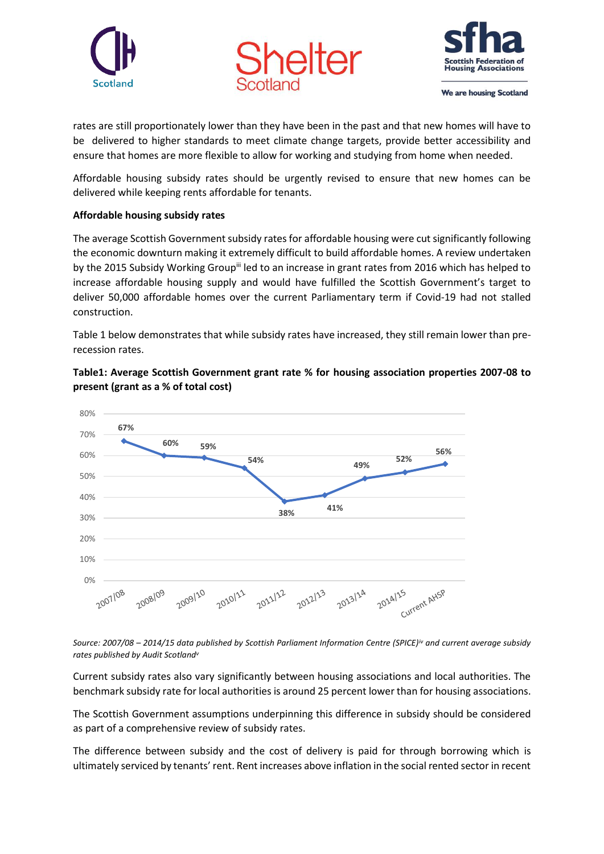





We are housing Scotland

rates are still proportionately lower than they have been in the past and that new homes will have to be delivered to higher standards to meet climate change targets, provide better accessibility and ensure that homes are more flexible to allow for working and studying from home when needed.

Affordable housing subsidy rates should be urgently revised to ensure that new homes can be delivered while keeping rents affordable for tenants.

## **Affordable housing subsidy rates**

The average Scottish Government subsidy rates for affordable housing were cut significantly following the economic downturn making it extremely difficult to build affordable homes. A review undertaken by the 2015 Subsidy Working Group<sup>ii</sup> led to an increase in grant rates from 2016 which has helped to increase affordable housing supply and would have fulfilled the Scottish Government's target to deliver 50,000 affordable homes over the current Parliamentary term if Covid-19 had not stalled construction.

Table 1 below demonstrates that while subsidy rates have increased, they still remain lower than prerecession rates.

**Table1: Average Scottish Government grant rate % for housing association properties 2007-08 to present (grant as a % of total cost)** 



*Source: 2007/08 – 2014/15 data published by Scottish Parliament Information Centre (SPICE)iv and current average subsidy rates published by Audit Scotland<sup>v</sup>*

Current subsidy rates also vary significantly between housing associations and local authorities. The benchmark subsidy rate for local authorities is around 25 percent lower than for housing associations.

The Scottish Government assumptions underpinning this difference in subsidy should be considered as part of a comprehensive review of subsidy rates.

The difference between subsidy and the cost of delivery is paid for through borrowing which is ultimately serviced by tenants' rent. Rent increases above inflation in the social rented sector in recent